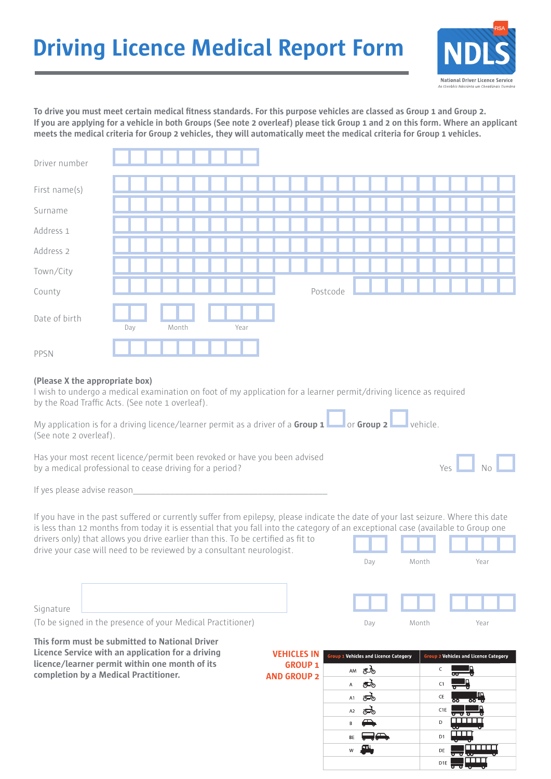# **Driving Licence Medical Report Form**



**To drive you must meet certain medical fitness standards. For this purpose vehicles are classed as Group 1 and Group 2. If you are applying for a vehicle in both Groups (See note 2 overleaf) please tick Group 1 and 2 on this form. Where an applicant meets the medical criteria for Group 2 vehicles, they will automatically meet the medical criteria for Group 1 vehicles.** 

| Driver number                                                                                                                                                                                                                                                                                                                                                                                                                                                                                                                                 |     |       |  |      |  |                                          |                |          |                      |                                              |       |   |                                                         |      |  |
|-----------------------------------------------------------------------------------------------------------------------------------------------------------------------------------------------------------------------------------------------------------------------------------------------------------------------------------------------------------------------------------------------------------------------------------------------------------------------------------------------------------------------------------------------|-----|-------|--|------|--|------------------------------------------|----------------|----------|----------------------|----------------------------------------------|-------|---|---------------------------------------------------------|------|--|
| First name(s)                                                                                                                                                                                                                                                                                                                                                                                                                                                                                                                                 |     |       |  |      |  |                                          |                |          |                      |                                              |       |   |                                                         |      |  |
| Surname                                                                                                                                                                                                                                                                                                                                                                                                                                                                                                                                       |     |       |  |      |  |                                          |                |          |                      |                                              |       |   |                                                         |      |  |
| Address 1                                                                                                                                                                                                                                                                                                                                                                                                                                                                                                                                     |     |       |  |      |  |                                          |                |          |                      |                                              |       |   |                                                         |      |  |
| Address 2                                                                                                                                                                                                                                                                                                                                                                                                                                                                                                                                     |     |       |  |      |  |                                          |                |          |                      |                                              |       |   |                                                         |      |  |
| Town/City                                                                                                                                                                                                                                                                                                                                                                                                                                                                                                                                     |     |       |  |      |  |                                          |                |          |                      |                                              |       |   |                                                         |      |  |
| County                                                                                                                                                                                                                                                                                                                                                                                                                                                                                                                                        |     |       |  |      |  |                                          |                | Postcode |                      |                                              |       |   |                                                         |      |  |
| Date of birth                                                                                                                                                                                                                                                                                                                                                                                                                                                                                                                                 | Day | Month |  | Year |  |                                          |                |          |                      |                                              |       |   |                                                         |      |  |
| PPSN                                                                                                                                                                                                                                                                                                                                                                                                                                                                                                                                          |     |       |  |      |  |                                          |                |          |                      |                                              |       |   |                                                         |      |  |
| (Please X the appropriate box)<br>I wish to undergo a medical examination on foot of my application for a learner permit/driving licence as required<br>by the Road Traffic Acts. (See note 1 overleaf).<br>My application is for a driving licence/learner permit as a driver of a <b>Group 1</b> $\Box$ or <b>Group 2</b> $\Box$ vehicle.<br>(See note 2 overleaf).<br>Has your most recent licence/permit been revoked or have you been advised<br>by a medical professional to cease driving for a period?<br>If yes please advise reason |     |       |  |      |  |                                          |                |          |                      |                                              |       |   | $Yes$ $No$                                              |      |  |
| If you have in the past suffered or currently suffer from epilepsy, please indicate the date of your last seizure. Where this date<br>is less than 12 months from today it is essential that you fall into the category of an exceptional case (available to Group one<br>drivers only) that allows you drive earlier than this. To be certified as fit to<br>drive your case will need to be reviewed by a consultant neurologist.                                                                                                           |     |       |  |      |  |                                          |                |          | Day                  |                                              | Month |   |                                                         | Year |  |
| Signature<br>(To be signed in the presence of your Medical Practitioner)                                                                                                                                                                                                                                                                                                                                                                                                                                                                      |     |       |  |      |  |                                          |                |          | Day                  |                                              | Month |   |                                                         | Year |  |
| This form must be submitted to National Driver<br>Licence Service with an application for a driving<br>licence/learner permit within one month of its<br>completion by a Medical Practitioner.                                                                                                                                                                                                                                                                                                                                                |     |       |  |      |  | <b>VEHICLES IN</b><br><b>AND GROUP 2</b> | <b>GROUP 1</b> |          | AM $\sigma$ $\delta$ | <b>Group 1 Vehicles and Licence Category</b> |       | C | <b>Group 2 Vehicles and Licence Category</b><br>$\circ$ |      |  |

| LI EC.<br><b>GROUP1</b><br><b>GROUP 2</b> | <b>Group 1 Vehicles and Licence Category</b> | <b>Group 2 Vehicles and Licence Category</b>     |  |  |  |  |  |  |
|-------------------------------------------|----------------------------------------------|--------------------------------------------------|--|--|--|--|--|--|
|                                           | AM                                           | C<br>ೲ                                           |  |  |  |  |  |  |
|                                           | Α                                            | C1                                               |  |  |  |  |  |  |
|                                           | A1<br>ี∼ั                                    | מו<br>CE<br>$\overline{00}$ $\overline{0}$<br>ਠਰ |  |  |  |  |  |  |
|                                           | A <sub>2</sub><br>توسطون                     | C <sub>1E</sub><br>ᠳᠣᡃᡉ                          |  |  |  |  |  |  |
|                                           | B                                            | D<br>$\bullet$ .                                 |  |  |  |  |  |  |
|                                           | BE                                           | D <sub>1</sub>                                   |  |  |  |  |  |  |
|                                           | m<br>W                                       | DE<br>ᠳ<br>᠊ᡂ<br>ਹ                               |  |  |  |  |  |  |
|                                           |                                              | D <sub>1E</sub>                                  |  |  |  |  |  |  |